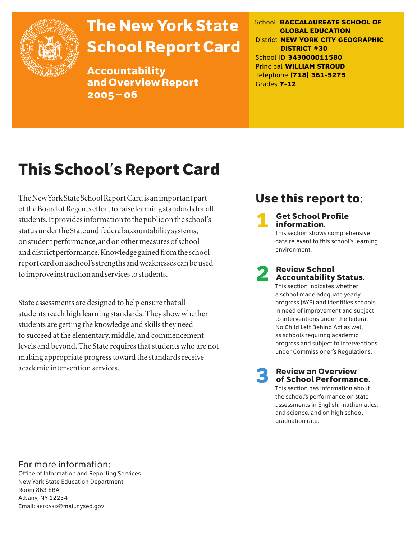

# The New York State School Report Card

Accountability and Overview Report 2005–06

School **BACCALAUREATE SCHOOL OF GLOBAL EDUCATION** District **NEW YORK CITY GEOGRAPHIC DISTRICT #30** School ID **343000011580** Principal **WILLIAM STROUD** Telephone **(718) 361-5275** Grades **7-12**

# This School's Report Card

The New York State School Report Card is an important part of the Board of Regents effort to raise learning standards for all students. It provides information to the public on the school's status under the State and federal accountability systems, on student performance, and on other measures of school and district performance. Knowledge gained from the school report card on a school's strengths and weaknesses can be used to improve instruction and services to students.

State assessments are designed to help ensure that all students reach high learning standards. They show whether students are getting the knowledge and skills they need to succeed at the elementary, middle, and commencement levels and beyond. The State requires that students who are not making appropriate progress toward the standards receive academic intervention services.

## Use this report to:

**Get School Profile** information. This section shows comprehensive data relevant to this school's learning environment.

# 2 Review School Accountability Status.

This section indicates whether a school made adequate yearly progress (AYP) and identifies schools in need of improvement and subject to interventions under the federal No Child Left Behind Act as well as schools requiring academic progress and subject to interventions under Commissioner's Regulations.

**Review an Overview** of School Performance.

This section has information about the school's performance on state assessments in English, mathematics, and science, and on high school graduation rate.

### For more information:

Office of Information and Reporting Services New York State Education Department Room 863 EBA Albany, NY 12234 Email: RPTCARD@mail.nysed.gov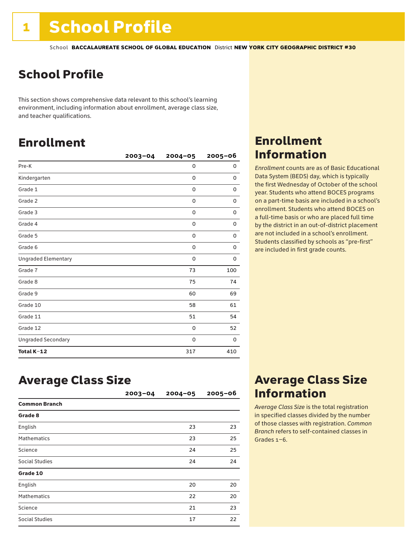## School Profile

This section shows comprehensive data relevant to this school's learning environment, including information about enrollment, average class size, and teacher qualifications.

## Enrollment

|                            | $2003 - 04$ | $2004 - 05$ | $2005 - 06$ |
|----------------------------|-------------|-------------|-------------|
| Pre-K                      |             | 0           | 0           |
| Kindergarten               |             | 0           | 0           |
| Grade 1                    |             | 0           | 0           |
| Grade 2                    |             | 0           | 0           |
| Grade 3                    |             | $\mathbf 0$ | 0           |
| Grade 4                    |             | 0           | 0           |
| Grade 5                    |             | 0           | 0           |
| Grade 6                    |             | 0           | $\mathbf 0$ |
| <b>Ungraded Elementary</b> |             | 0           | 0           |
| Grade 7                    |             | 73          | 100         |
| Grade 8                    |             | 75          | 74          |
| Grade 9                    |             | 60          | 69          |
| Grade 10                   |             | 58          | 61          |
| Grade 11                   |             | 51          | 54          |
| Grade 12                   |             | 0           | 52          |
| <b>Ungraded Secondary</b>  |             | 0           | 0           |
| Total K-12                 |             | 317         | 410         |

### Enrollment Information

*Enrollment* counts are as of Basic Educational Data System (BEDS) day, which is typically the first Wednesday of October of the school year. Students who attend BOCES programs on a part-time basis are included in a school's enrollment. Students who attend BOCES on a full-time basis or who are placed full time by the district in an out-of-district placement are not included in a school's enrollment. Students classified by schools as "pre-first" are included in first grade counts.

### Average Class Size

|                       | $2003 - 04$ | $2004 - 05$ | $2005 - 06$ |
|-----------------------|-------------|-------------|-------------|
| <b>Common Branch</b>  |             |             |             |
| Grade 8               |             |             |             |
| English               |             | 23          | 23          |
| <b>Mathematics</b>    |             | 23          | 25          |
| Science               |             | 24          | 25          |
| Social Studies        |             | 24          | 24          |
| Grade 10              |             |             |             |
| English               |             | 20          | 20          |
| <b>Mathematics</b>    |             | 22          | 20          |
| Science               |             | 21          | 23          |
| <b>Social Studies</b> |             | 17          | 22          |

### Average Class Size Information

*Average Class Size* is the total registration in specified classes divided by the number of those classes with registration. *Common Branch* refers to self-contained classes in Grades 1–6.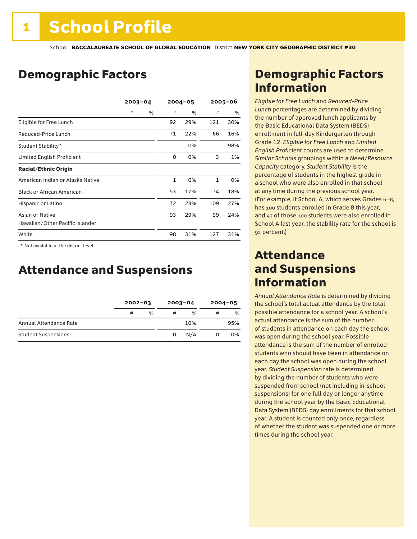### Demographic Factors

|                                  | $2003 - 04$ |   | $2004 - 05$  |      | $2005 - 06$  |     |
|----------------------------------|-------------|---|--------------|------|--------------|-----|
|                                  | #           | % | #            | $\%$ | #            | %   |
| Eligible for Free Lunch          |             |   | 92           | 29%  | 121          | 30% |
| Reduced-Price Lunch              |             |   | 71           | 22%  | 66           | 16% |
| Student Stability*               |             |   |              | 0%   |              | 98% |
| Limited English Proficient       |             |   | 0            | 0%   | 3            | 1%  |
| <b>Racial/Ethnic Origin</b>      |             |   |              |      |              |     |
| American Indian or Alaska Native |             |   | $\mathbf{1}$ | 0%   | $\mathbf{1}$ | 0%  |
| <b>Black or African American</b> |             |   | 53           | 17%  | 74           | 18% |
| Hispanic or Latino               |             |   | 72           | 23%  | 109          | 27% |
| Asian or Native                  |             |   | 93           | 29%  | 99           | 24% |
| Hawaiian/Other Pacific Islander  |             |   |              |      |              |     |
| White                            |             |   | 98           | 31%  | 127          | 31% |

 \* Not available at the district level.

### Attendance and Suspensions

|                            |   | $2002 - 03$ |   | $2003 - 04$   |   | $2004 - 05$ |
|----------------------------|---|-------------|---|---------------|---|-------------|
|                            | # | %           | # | $\frac{0}{6}$ | # | %           |
| Annual Attendance Rate     |   |             |   | 10%           |   | 95%         |
| <b>Student Suspensions</b> |   |             | 0 | N/A           |   | 0%          |

### Demographic Factors Information

*Eligible for Free Lunch* and *Reduced*-*Price Lunch* percentages are determined by dividing the number of approved lunch applicants by the Basic Educational Data System (BEDS) enrollment in full-day Kindergarten through Grade 12. *Eligible for Free Lunch* and *Limited English Proficient* counts are used to determine *Similar Schools* groupings within a *Need*/*Resource Capacity* category. *Student Stability* is the percentage of students in the highest grade in a school who were also enrolled in that school at any time during the previous school year. (For example, if School A, which serves Grades 6–8, has 100 students enrolled in Grade 8 this year, and 92 of those 100 students were also enrolled in School A last year, the stability rate for the school is 92 percent.)

### Attendance and Suspensions Information

*Annual Attendance Rate* is determined by dividing the school's total actual attendance by the total possible attendance for a school year. A school's actual attendance is the sum of the number of students in attendance on each day the school was open during the school year. Possible attendance is the sum of the number of enrolled students who should have been in attendance on each day the school was open during the school year. *Student Suspension* rate is determined by dividing the number of students who were suspended from school (not including in-school suspensions) for one full day or longer anytime during the school year by the Basic Educational Data System (BEDS) day enrollments for that school year. A student is counted only once, regardless of whether the student was suspended one or more times during the school year.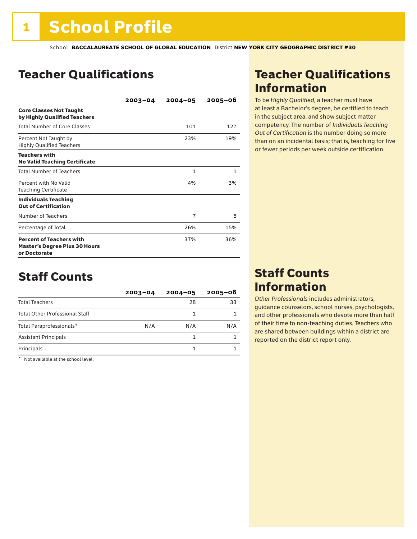## Teacher Qualifications

|                                                                                         | $2003 - 04$ | $2004 - 05$    | $2005 - 06$  |
|-----------------------------------------------------------------------------------------|-------------|----------------|--------------|
| <b>Core Classes Not Taught</b><br>by Highly Qualified Teachers                          |             |                |              |
| <b>Total Number of Core Classes</b>                                                     |             | 101            | 127          |
| Percent Not Taught by<br><b>Highly Qualified Teachers</b>                               |             | 23%            | 19%          |
| <b>Teachers with</b><br><b>No Valid Teaching Certificate</b>                            |             |                |              |
| <b>Total Number of Teachers</b>                                                         |             | $\mathbf{1}$   | $\mathbf{1}$ |
| Percent with No Valid<br><b>Teaching Certificate</b>                                    |             | 4%             | 3%           |
| <b>Individuals Teaching</b><br><b>Out of Certification</b>                              |             |                |              |
| Number of Teachers                                                                      |             | $\overline{7}$ | 5            |
| Percentage of Total                                                                     |             | 26%            | 15%          |
| <b>Percent of Teachers with</b><br><b>Master's Degree Plus 30 Hours</b><br>or Doctorate |             | 37%            | 36%          |

### Staff Counts

|                                       | $2003 - 04$ | $2004 - 05$ | $2005 - 06$ |
|---------------------------------------|-------------|-------------|-------------|
| <b>Total Teachers</b>                 |             | 28          | 33          |
| <b>Total Other Professional Staff</b> |             |             |             |
| Total Paraprofessionals*              | N/A         | N/A         | N/A         |
| <b>Assistant Principals</b>           |             |             |             |
| Principals                            |             |             |             |

\* Not available at the school level.

### Teacher Qualifications Information

To be *Highly Qualified*, a teacher must have at least a Bachelor's degree, be certified to teach in the subject area, and show subject matter competency. The number of *Individuals Teaching Out of Certification* is the number doing so more than on an incidental basis; that is, teaching for five or fewer periods per week outside certification.

### Staff Counts Information

*Other Professionals* includes administrators, guidance counselors, school nurses, psychologists, and other professionals who devote more than half of their time to non-teaching duties. Teachers who are shared between buildings within a district are reported on the district report only.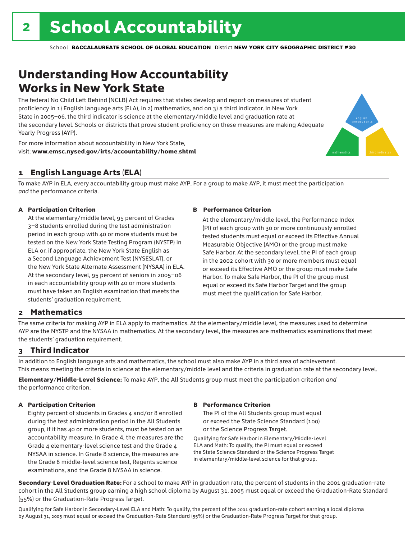## Understanding How Accountability Works in New York State

The federal No Child Left Behind (NCLB) Act requires that states develop and report on measures of student proficiency in 1) English language arts (ELA), in 2) mathematics, and on 3) a third indicator. In New York State in 2005–06, the third indicator is science at the elementary/middle level and graduation rate at the secondary level. Schools or districts that prove student proficiency on these measures are making Adequate Yearly Progress (AYP).



For more information about accountability in New York State, visit: www.emsc.nysed.gov/irts/accountability/home.shtml

### 1 English Language Arts (ELA)

To make AYP in ELA, every accountability group must make AYP. For a group to make AYP, it must meet the participation *and* the performance criteria.

#### A Participation Criterion

At the elementary/middle level, 95 percent of Grades 3–8 students enrolled during the test administration period in each group with 40 or more students must be tested on the New York State Testing Program (NYSTP) in ELA or, if appropriate, the New York State English as a Second Language Achievement Test (NYSESLAT), or the New York State Alternate Assessment (NYSAA) in ELA. At the secondary level, 95 percent of seniors in 2005–06 in each accountability group with 40 or more students must have taken an English examination that meets the students' graduation requirement.

#### B Performance Criterion

At the elementary/middle level, the Performance Index (PI) of each group with 30 or more continuously enrolled tested students must equal or exceed its Effective Annual Measurable Objective (AMO) or the group must make Safe Harbor. At the secondary level, the PI of each group in the 2002 cohort with 30 or more members must equal or exceed its Effective AMO or the group must make Safe Harbor. To make Safe Harbor, the PI of the group must equal or exceed its Safe Harbor Target and the group must meet the qualification for Safe Harbor.

### 2 Mathematics

The same criteria for making AYP in ELA apply to mathematics. At the elementary/middle level, the measures used to determine AYP are the NYSTP and the NYSAA in mathematics. At the secondary level, the measures are mathematics examinations that meet the students' graduation requirement.

### 3 Third Indicator

In addition to English language arts and mathematics, the school must also make AYP in a third area of achievement. This means meeting the criteria in science at the elementary/middle level and the criteria in graduation rate at the secondary level.

Elementary/Middle-Level Science: To make AYP, the All Students group must meet the participation criterion *and* the performance criterion.

#### A Participation Criterion

Eighty percent of students in Grades 4 and/or 8 enrolled during the test administration period in the All Students group, if it has 40 or more students, must be tested on an accountability measure. In Grade 4, the measures are the Grade 4 elementary-level science test and the Grade 4 NYSAA in science. In Grade 8 science, the measures are the Grade 8 middle-level science test, Regents science examinations, and the Grade 8 NYSAA in science.

### B Performance Criterion

The PI of the All Students group must equal or exceed the State Science Standard (100) or the Science Progress Target.

Qualifying for Safe Harbor in Elementary/Middle-Level ELA and Math: To qualify, the PI must equal or exceed the State Science Standard or the Science Progress Target in elementary/middle-level science for that group.

Secondary-Level Graduation Rate: For a school to make AYP in graduation rate, the percent of students in the 2001 graduation-rate cohort in the All Students group earning a high school diploma by August 31, 2005 must equal or exceed the Graduation-Rate Standard (55%) or the Graduation-Rate Progress Target.

Qualifying for Safe Harbor in Secondary-Level ELA and Math: To qualify, the percent of the 2001 graduation-rate cohort earning a local diploma by August 31, 2005 must equal or exceed the Graduation-Rate Standard (55%) or the Graduation-Rate Progress Target for that group.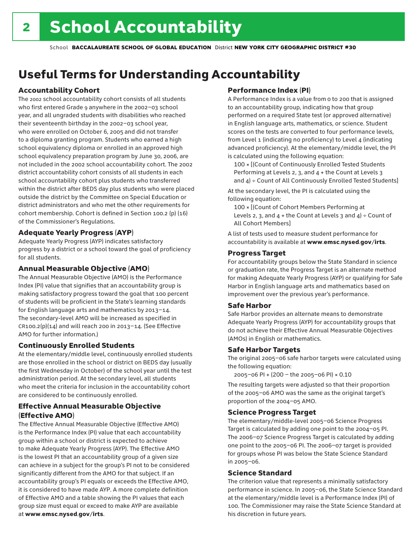## Useful Terms for Understanding Accountability

### Accountability Cohort

The 2002 school accountability cohort consists of all students who first entered Grade 9 anywhere in the 2002–03 school year, and all ungraded students with disabilities who reached their seventeenth birthday in the 2002–03 school year, who were enrolled on October 6, 2005 and did not transfer to a diploma granting program. Students who earned a high school equivalency diploma or enrolled in an approved high school equivalency preparation program by June 30, 2006, are not included in the 2002 school accountability cohort. The 2002 district accountability cohort consists of all students in each school accountability cohort plus students who transferred within the district after BEDS day plus students who were placed outside the district by the Committee on Special Education or district administrators and who met the other requirements for cohort membership. Cohort is defined in Section 100.2 (p) (16) of the Commissioner's Regulations.

### Adequate Yearly Progress (AYP)

Adequate Yearly Progress (AYP) indicates satisfactory progress by a district or a school toward the goal of proficiency for all students.

### Annual Measurable Objective (AMO)

The Annual Measurable Objective (AMO) is the Performance Index (PI) value that signifies that an accountability group is making satisfactory progress toward the goal that 100 percent of students will be proficient in the State's learning standards for English language arts and mathematics by 2013–14. The secondary-level AMO will be increased as specified in  $CR100.2(p)(14)$  and will reach 200 in 2013-14. (See Effective AMO for further information.)

### Continuously Enrolled Students

At the elementary/middle level, continuously enrolled students are those enrolled in the school or district on BEDS day (usually the first Wednesday in October) of the school year until the test administration period. At the secondary level, all students who meet the criteria for inclusion in the accountability cohort are considered to be continuously enrolled.

### Effective Annual Measurable Objective (Effective AMO)

The Effective Annual Measurable Objective (Effective AMO) is the Performance Index (PI) value that each accountability group within a school or district is expected to achieve to make Adequate Yearly Progress (AYP). The Effective AMO is the lowest PI that an accountability group of a given size can achieve in a subject for the group's PI not to be considered significantly different from the AMO for that subject. If an accountability group's PI equals or exceeds the Effective AMO, it is considered to have made AYP. A more complete definition of Effective AMO and a table showing the PI values that each group size must equal or exceed to make AYP are available at www.emsc.nysed.gov/irts.

### Performance Index (PI)

A Performance Index is a value from 0 to 200 that is assigned to an accountability group, indicating how that group performed on a required State test (or approved alternative) in English language arts, mathematics, or science. Student scores on the tests are converted to four performance levels, from Level 1 (indicating no proficiency) to Level 4 (indicating advanced proficiency). At the elementary/middle level, the PI is calculated using the following equation:

100 × [(Count of Continuously Enrolled Tested Students Performing at Levels 2, 3, and 4 + the Count at Levels 3 and  $4$ ) ÷ Count of All Continuously Enrolled Tested Students]

At the secondary level, the PI is calculated using the following equation:

100 × [(Count of Cohort Members Performing at Levels 2, 3, and  $4 +$  the Count at Levels 3 and  $4$ ) ÷ Count of All Cohort Members]

A list of tests used to measure student performance for accountability is available at www.emsc.nysed.gov/irts.

### Progress Target

For accountability groups below the State Standard in science or graduation rate, the Progress Target is an alternate method for making Adequate Yearly Progress (AYP) or qualifying for Safe Harbor in English language arts and mathematics based on improvement over the previous year's performance.

### Safe Harbor

Safe Harbor provides an alternate means to demonstrate Adequate Yearly Progress (AYP) for accountability groups that do not achieve their Effective Annual Measurable Objectives (AMOs) in English or mathematics.

### Safe Harbor Targets

The original 2005–06 safe harbor targets were calculated using the following equation:

2005–06 PI + (200 – the 2005–06 PI) × 0.10

The resulting targets were adjusted so that their proportion of the 2005–06 AMO was the same as the original target's proportion of the 2004–05 AMO.

### Science Progress Target

The elementary/middle-level 2005–06 Science Progress Target is calculated by adding one point to the 2004–05 PI. The 2006–07 Science Progress Target is calculated by adding one point to the 2005–06 PI. The 2006–07 target is provided for groups whose PI was below the State Science Standard in 2005–06.

### Science Standard

The criterion value that represents a minimally satisfactory performance in science. In 2005–06, the State Science Standard at the elementary/middle level is a Performance Index (PI) of 100. The Commissioner may raise the State Science Standard at his discretion in future years.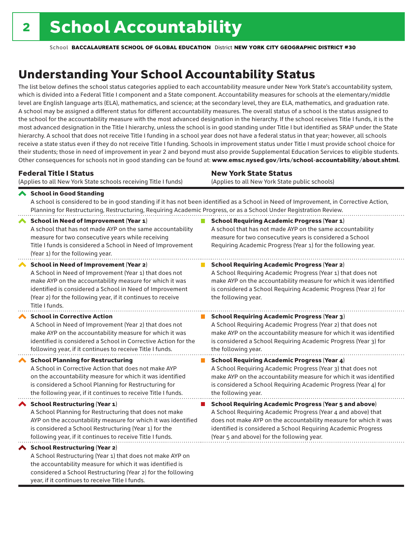year, if it continues to receive Title I funds.

School **BACCALAUREATE SCHOOL OF GLOBAL EDUCATION** District **NEW YORK CITY GEOGRAPHIC DISTRICT #30**

## Understanding Your School Accountability Status

The list below defines the school status categories applied to each accountability measure under New York State's accountability system, which is divided into a Federal Title I component and a State component. Accountability measures for schools at the elementary/middle level are English language arts (ELA), mathematics, and science; at the secondary level, they are ELA, mathematics, and graduation rate. A school may be assigned a different status for different accountability measures. The overall status of a school is the status assigned to the school for the accountability measure with the most advanced designation in the hierarchy. If the school receives Title I funds, it is the most advanced designation in the Title I hierarchy, unless the school is in good standing under Title I but identified as SRAP under the State hierarchy. A school that does not receive Title I funding in a school year does not have a federal status in that year; however, all schools receive a state status even if they do not receive Title I funding. Schools in improvement status under Title I must provide school choice for their students; those in need of improvement in year 2 and beyond must also provide Supplemental Education Services to eligible students. Other consequences for schools not in good standing can be found at: www.emsc.nysed.gov/irts/school-accountability/about.shtml.

| <b>Federal Title I Status</b>                                                                                                                                                                                                                                                                                   | <b>New York State Status</b>                                                                                                                                                                                                                                                      |  |  |  |  |
|-----------------------------------------------------------------------------------------------------------------------------------------------------------------------------------------------------------------------------------------------------------------------------------------------------------------|-----------------------------------------------------------------------------------------------------------------------------------------------------------------------------------------------------------------------------------------------------------------------------------|--|--|--|--|
| (Applies to all New York State schools receiving Title I funds)                                                                                                                                                                                                                                                 | (Applies to all New York State public schools)                                                                                                                                                                                                                                    |  |  |  |  |
| School in Good Standing<br>Planning for Restructuring, Restructuring, Requiring Academic Progress, or as a School Under Registration Review.                                                                                                                                                                    | A school is considered to be in good standing if it has not been identified as a School in Need of Improvement, in Corrective Action,                                                                                                                                             |  |  |  |  |
| <b>School in Need of Improvement (Year 1)</b><br>A school that has not made AYP on the same accountability<br>measure for two consecutive years while receiving<br>Title I funds is considered a School in Need of Improvement<br>(Year 1) for the following year.                                              | <b>School Requiring Academic Progress (Year 1)</b><br>A school that has not made AYP on the same accountability<br>measure for two consecutive years is considered a School<br>Requiring Academic Progress (Year 1) for the following year.                                       |  |  |  |  |
| <b>School in Need of Improvement (Year 2)</b><br>A School in Need of Improvement (Year 1) that does not<br>make AYP on the accountability measure for which it was<br>identified is considered a School in Need of Improvement<br>(Year 2) for the following year, if it continues to receive<br>Title I funds. | <b>School Requiring Academic Progress (Year 2)</b><br>A School Requiring Academic Progress (Year 1) that does not<br>make AYP on the accountability measure for which it was identified<br>is considered a School Requiring Academic Progress (Year 2) for<br>the following year. |  |  |  |  |
| <b>School in Corrective Action</b>                                                                                                                                                                                                                                                                              | <b>School Requiring Academic Progress (Year 3)</b>                                                                                                                                                                                                                                |  |  |  |  |
| A School in Need of Improvement (Year 2) that does not                                                                                                                                                                                                                                                          | A School Requiring Academic Progress (Year 2) that does not                                                                                                                                                                                                                       |  |  |  |  |
| make AYP on the accountability measure for which it was                                                                                                                                                                                                                                                         | make AYP on the accountability measure for which it was identified                                                                                                                                                                                                                |  |  |  |  |
| identified is considered a School in Corrective Action for the                                                                                                                                                                                                                                                  | is considered a School Requiring Academic Progress (Year 3) for                                                                                                                                                                                                                   |  |  |  |  |
| following year, if it continues to receive Title I funds.                                                                                                                                                                                                                                                       | the following year.                                                                                                                                                                                                                                                               |  |  |  |  |
| <b>School Planning for Restructuring</b>                                                                                                                                                                                                                                                                        | <b>School Requiring Academic Progress (Year 4)</b>                                                                                                                                                                                                                                |  |  |  |  |
| A School in Corrective Action that does not make AYP                                                                                                                                                                                                                                                            | A School Requiring Academic Progress (Year 3) that does not                                                                                                                                                                                                                       |  |  |  |  |
| on the accountability measure for which it was identified                                                                                                                                                                                                                                                       | make AYP on the accountability measure for which it was identified                                                                                                                                                                                                                |  |  |  |  |
| is considered a School Planning for Restructuring for                                                                                                                                                                                                                                                           | is considered a School Requiring Academic Progress (Year 4) for                                                                                                                                                                                                                   |  |  |  |  |
| the following year, if it continues to receive Title I funds.                                                                                                                                                                                                                                                   | the following year.                                                                                                                                                                                                                                                               |  |  |  |  |
| School Restructuring (Year 1)                                                                                                                                                                                                                                                                                   | <b>School Requiring Academic Progress (Year 5 and above)</b>                                                                                                                                                                                                                      |  |  |  |  |
| A School Planning for Restructuring that does not make                                                                                                                                                                                                                                                          | A School Requiring Academic Progress (Year 4 and above) that                                                                                                                                                                                                                      |  |  |  |  |
| AYP on the accountability measure for which it was identified                                                                                                                                                                                                                                                   | does not make AYP on the accountability measure for which it was                                                                                                                                                                                                                  |  |  |  |  |
| is considered a School Restructuring (Year 1) for the                                                                                                                                                                                                                                                           | identified is considered a School Requiring Academic Progress                                                                                                                                                                                                                     |  |  |  |  |
| following year, if it continues to receive Title I funds.                                                                                                                                                                                                                                                       | (Year 5 and above) for the following year.                                                                                                                                                                                                                                        |  |  |  |  |
| ◆ School Restructuring (Year 2)<br>A School Restructuring (Year 1) that does not make AYP on<br>the accountability measure for which it was identified is<br>considered a School Restructuring (Year 2) for the following                                                                                       |                                                                                                                                                                                                                                                                                   |  |  |  |  |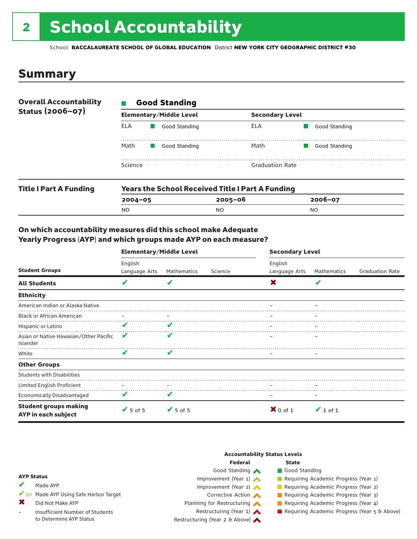# 2 School Accountability

School **BACCALAUREATE SCHOOL OF GLOBAL EDUCATION** District **NEW YORK CITY GEOGRAPHIC DISTRICT #30**

### Summary

| <b>Overall Accountability</b> | <b>Good Standing</b> |                                |                        |                        |  |  |  |
|-------------------------------|----------------------|--------------------------------|------------------------|------------------------|--|--|--|
| Status (2006-07)              |                      | <b>Elementary/Middle Level</b> |                        | <b>Secondary Level</b> |  |  |  |
|                               | ELA                  | Good Standing                  | ELA                    | Good Standing          |  |  |  |
|                               | Math                 | Good Standing                  | Math                   | Good Standing          |  |  |  |
|                               | Science              |                                | <b>Graduation Rate</b> |                        |  |  |  |
|                               |                      | .                              |                        |                        |  |  |  |

| <b>Title I Part A Funding</b> | <b>Years the School Received Title I Part A Funding</b> |         |             |  |  |  |
|-------------------------------|---------------------------------------------------------|---------|-------------|--|--|--|
|                               | $2004 - 05$                                             | 2005-06 | $2006 - 07$ |  |  |  |
|                               | N <sub>O</sub>                                          | NO      | NO          |  |  |  |

### On which accountability measures did this school make Adequate Yearly Progress (AYP) and which groups made AYP on each measure?

| <b>Student Groups</b>                               | <b>Elementary/Middle Level</b> |                          |         | <b>Secondary Level</b>   |               |                        |  |
|-----------------------------------------------------|--------------------------------|--------------------------|---------|--------------------------|---------------|------------------------|--|
|                                                     | English<br>Language Arts       | Mathematics              | Science | English<br>Language Arts | Mathematics   | <b>Graduation Rate</b> |  |
| <b>All Students</b>                                 | V                              | V                        |         | X                        | V             |                        |  |
| <b>Ethnicity</b>                                    |                                |                          |         |                          |               |                        |  |
| American Indian or Alaska Native                    |                                |                          |         |                          |               |                        |  |
| <b>Black or African American</b>                    | $\qquad \qquad -$              | $\overline{\phantom{m}}$ |         |                          |               |                        |  |
| Hispanic or Latino                                  | V                              | V                        |         |                          |               |                        |  |
| Asian or Native Hawaiian/Other Pacific<br>Islander  | v                              |                          |         |                          |               |                        |  |
| White                                               | V                              | V                        |         |                          |               |                        |  |
| <b>Other Groups</b>                                 |                                |                          |         |                          |               |                        |  |
| <b>Students with Disabilities</b>                   |                                |                          |         |                          |               |                        |  |
| Limited English Proficient                          | $\qquad \qquad -$              |                          |         |                          |               |                        |  |
| <b>Economically Disadvantaged</b>                   | V                              | V                        |         |                          |               |                        |  |
| <b>Student groups making</b><br>AYP in each subject | $\sqrt{5}$ of 5                | $V$ 5 of 5               |         | $X$ 0 of 1               | $\vee$ 1 of 1 |                        |  |

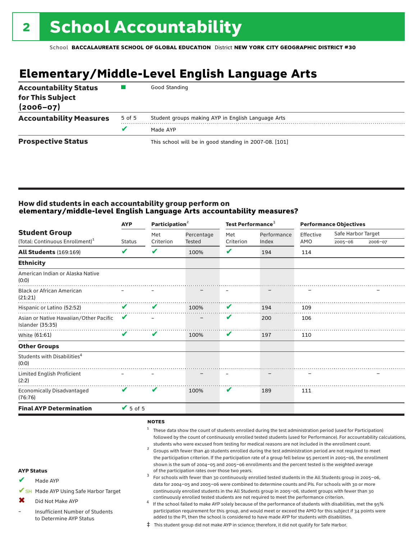## **Elementary/Middle-Level English Language Arts**

| <b>Accountability Status</b><br>for This Subject<br>$(2006 - 07)$ |        | Good Standing                                          |
|-------------------------------------------------------------------|--------|--------------------------------------------------------|
| <b>Accountability Measures</b>                                    | 5 of 5 | Student groups making AYP in English Language Arts     |
|                                                                   | v      | Made AYP                                               |
| <b>Prospective Status</b>                                         |        | This school will be in good standing in 2007-08. [101] |

#### How did students in each accountability group perform on **elementary/middle-level English Language Arts accountability measures?**

|                                                                     | Participation <sup>2</sup><br><b>AYP</b> |                  |               | Test Performance <sup>3</sup> |             | <b>Performance Objectives</b> |                    |         |
|---------------------------------------------------------------------|------------------------------------------|------------------|---------------|-------------------------------|-------------|-------------------------------|--------------------|---------|
| <b>Student Group</b><br>(Total: Continuous Enrollment) <sup>1</sup> |                                          | Met<br>Criterion | Percentage    | Met                           | Performance | Effective                     | Safe Harbor Target |         |
|                                                                     | <b>Status</b>                            |                  | <b>Tested</b> | Criterion                     | Index       | AMO                           | $2005 - 06$        | 2006-07 |
| <b>All Students (169:169)</b>                                       | V                                        | V                | 100%          | V                             | 194         | 114                           |                    |         |
| <b>Ethnicity</b>                                                    |                                          |                  |               |                               |             |                               |                    |         |
| American Indian or Alaska Native<br>(0:0)                           |                                          |                  |               |                               |             |                               |                    |         |
| <b>Black or African American</b><br>(21:21)                         |                                          |                  |               |                               |             |                               |                    |         |
| Hispanic or Latino (52:52)                                          | V                                        | V                | 100%          | V                             | 194         | 109                           |                    |         |
| Asian or Native Hawaiian/Other Pacific<br>Islander (35:35)          | V                                        |                  |               | V                             | 200         | 106                           |                    |         |
| White (61:61)                                                       | V                                        | V                | 100%          | V                             | 197         | 110                           |                    |         |
| <b>Other Groups</b>                                                 |                                          |                  |               |                               |             |                               |                    |         |
| Students with Disabilities <sup>4</sup><br>(0:0)                    |                                          |                  |               |                               |             |                               |                    |         |
| Limited English Proficient<br>(2:2)                                 |                                          |                  |               |                               |             |                               |                    |         |
| Economically Disadvantaged<br>(76:76)                               | V                                        | V                | 100%          | V                             | 189         | 111                           |                    |         |
| <b>Final AYP Determination</b>                                      | $\sqrt{5}$ of 5                          |                  |               |                               |             |                               |                    |         |

#### notes

- <sup>1</sup> These data show the count of students enrolled during the test administration period (used for Participation) followed by the count of continuously enrolled tested students (used for Performance). For accountability calculations,
- students who were excused from testing for medical reasons are not included in the enrollment count.<br><sup>2</sup> Groups with fewer than 40 students enrolled during the test administration period are not required to meet the participation criterion. If the participation rate of a group fell below 95 percent in 2005–06, the enrollment shown is the sum of 2004–05 and 2005–06 enrollments and the percent tested is the weighted average<br>of the participation rates over those two years. of the participation rates over those two years. <sup>3</sup> For schools with fewer than 30 continuously enrolled tested students in the All Students group in 2005–06,
- AYP Status
- Made AYP ✔
- ✔SH Made AYP Using Safe Harbor Target
- Did Not Make AYP ✖
- Insufficient Number of Students to Determine AYP Status –
- continuously enrolled tested students are not required to meet the performance criterion.<br>If the school failed to make AYP solely because of the performance of students with disabilities, met the 95% participation requirement for this group, and would meet or exceed the AMO for this subject if 34 points were added to the PI, then the school is considered to have made AYP for students with disabilities.

data for 2004–05 and 2005–06 were combined to determine counts and PIs. For schools with 30 or more continuously enrolled students in the All Students group in 2005–06, student groups with fewer than 30

‡ This student group did not make AYP in science; therefore, it did not qualify for Safe Harbor.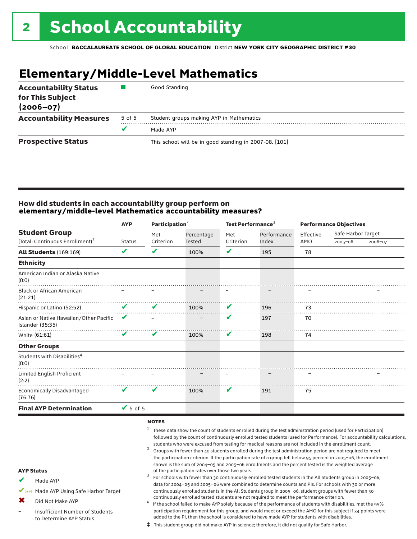## **Elementary/Middle-Level Mathematics**

| <b>Accountability Status</b><br>for This Subject<br>$(2006 - 07)$ |        | Good Standing                                          |
|-------------------------------------------------------------------|--------|--------------------------------------------------------|
| <b>Accountability Measures</b>                                    | 5 of 5 | Student groups making AYP in Mathematics               |
|                                                                   |        | Made AYP                                               |
| <b>Prospective Status</b>                                         |        | This school will be in good standing in 2007-08. [101] |

### How did students in each accountability group perform on **elementary/middle-level Mathematics accountability measures?**

|                                                                     | Participation <sup>2</sup><br><b>AYP</b> |                  |                      | Test Performance <sup>3</sup> |                      | <b>Performance Objectives</b> |                                   |         |
|---------------------------------------------------------------------|------------------------------------------|------------------|----------------------|-------------------------------|----------------------|-------------------------------|-----------------------------------|---------|
| <b>Student Group</b><br>(Total: Continuous Enrollment) <sup>1</sup> | <b>Status</b>                            | Met<br>Criterion | Percentage<br>Tested | Met<br>Criterion              | Performance<br>Index | Effective<br>AMO              | Safe Harbor Target<br>$2005 - 06$ | 2006-07 |
|                                                                     |                                          |                  |                      |                               |                      |                               |                                   |         |
| <b>All Students (169:169)</b>                                       | V                                        | V                | 100%                 | V                             | 195                  | 78                            |                                   |         |
| <b>Ethnicity</b>                                                    |                                          |                  |                      |                               |                      |                               |                                   |         |
| American Indian or Alaska Native<br>(0:0)                           |                                          |                  |                      |                               |                      |                               |                                   |         |
| <b>Black or African American</b><br>(21:21)                         |                                          |                  |                      |                               |                      |                               |                                   |         |
| Hispanic or Latino (52:52)                                          | V                                        | V                | 100%                 | V                             | 196                  | 73                            |                                   |         |
| Asian or Native Hawaiian/Other Pacific<br>Islander (35:35)          | V                                        |                  |                      | V                             | 197                  | 70                            |                                   |         |
| White (61:61)                                                       | V                                        | V                | 100%                 | V                             | 198                  | 74                            |                                   |         |
| <b>Other Groups</b>                                                 |                                          |                  |                      |                               |                      |                               |                                   |         |
| Students with Disabilities <sup>4</sup><br>(0:0)                    |                                          |                  |                      |                               |                      |                               |                                   |         |
| Limited English Proficient<br>(2:2)                                 |                                          |                  |                      |                               |                      |                               |                                   |         |
| <b>Economically Disadvantaged</b><br>(76:76)                        | V                                        | V                | 100%                 | V                             | 191                  | 75                            |                                   |         |
| <b>Final AYP Determination</b>                                      | $\sqrt{5}$ of 5                          |                  |                      |                               |                      |                               |                                   |         |

#### notes

- <sup>1</sup> These data show the count of students enrolled during the test administration period (used for Participation) followed by the count of continuously enrolled tested students (used for Performance). For accountability calculations,
- students who were excused from testing for medical reasons are not included in the enrollment count.<br><sup>2</sup> Groups with fewer than 40 students enrolled during the test administration period are not required to meet the participation criterion. If the participation rate of a group fell below 95 percent in 2005–06, the enrollment shown is the sum of 2004–05 and 2005–06 enrollments and the percent tested is the weighted average<br>of the participation rates over those two years. of the participation rates over those two years. <sup>3</sup> For schools with fewer than 30 continuously enrolled tested students in the All Students group in 2005–06,
- AYP Status
- Made AYP ✔
- ✔SH Made AYP Using Safe Harbor Target
- Did Not Make AYP ✖
- Insufficient Number of Students to Determine AYP Status –
- continuously enrolled tested students are not required to meet the performance criterion.<br>If the school failed to make AYP solely because of the performance of students with disabilities, met the 95% participation requirement for this group, and would meet or exceed the AMO for this subject if 34 points were added to the PI, then the school is considered to have made AYP for students with disabilities.

data for 2004–05 and 2005–06 were combined to determine counts and PIs. For schools with 30 or more continuously enrolled students in the All Students group in 2005–06, student groups with fewer than 30

‡ This student group did not make AYP in science; therefore, it did not qualify for Safe Harbor.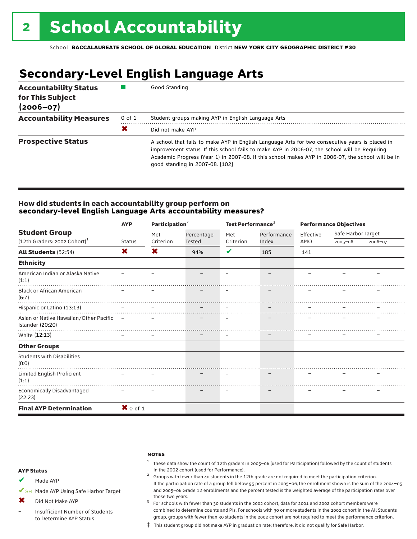## **Secondary-Level English Language Arts**

| <b>Accountability Status</b><br>for This Subject<br>$(2006 - 07)$ |            | Good Standing                                                                                                                                                                                                                                                                                                                            |
|-------------------------------------------------------------------|------------|------------------------------------------------------------------------------------------------------------------------------------------------------------------------------------------------------------------------------------------------------------------------------------------------------------------------------------------|
| <b>Accountability Measures</b>                                    | $0$ of $1$ | Student groups making AYP in English Language Arts                                                                                                                                                                                                                                                                                       |
|                                                                   | X          | Did not make AYP                                                                                                                                                                                                                                                                                                                         |
| <b>Prospective Status</b>                                         |            | A school that fails to make AYP in English Language Arts for two consecutive years is placed in<br>improvement status. If this school fails to make AYP in 2006-07, the school will be Requiring<br>Academic Progress (Year 1) in 2007-08. If this school makes AYP in 2006-07, the school will be in<br>good standing in 2007-08. [102] |

#### How did students in each accountability group perform on **secondary-level English Language Arts accountability measures?**

|                                                              | Participation <sup>2</sup><br><b>AYP</b> |           |            |                          | Test Performance <sup>3</sup> |           | <b>Performance Objectives</b> |         |  |  |
|--------------------------------------------------------------|------------------------------------------|-----------|------------|--------------------------|-------------------------------|-----------|-------------------------------|---------|--|--|
| <b>Student Group</b>                                         |                                          | Met       | Percentage | Met                      | Performance                   | Effective | Safe Harbor Target            |         |  |  |
| (12th Graders: 2002 Cohort) <sup>1</sup>                     | <b>Status</b>                            | Criterion | Tested     | Criterion                | Index                         | AMO       | $2005 - 06$                   | 2006-07 |  |  |
| <b>All Students (52:54)</b>                                  | X                                        | X         | 94%        | V                        | 185                           | 141       |                               |         |  |  |
| <b>Ethnicity</b>                                             |                                          |           |            |                          |                               |           |                               |         |  |  |
| American Indian or Alaska Native<br>(1:1)                    |                                          |           |            |                          |                               |           |                               |         |  |  |
| <b>Black or African American</b><br>(6:7)                    |                                          |           |            |                          |                               |           |                               |         |  |  |
| Hispanic or Latino (13:13)                                   |                                          |           |            |                          |                               |           |                               |         |  |  |
| Asian or Native Hawaiian/Other Pacific –<br>Islander (20:20) |                                          |           |            |                          |                               |           |                               |         |  |  |
| White (12:13)                                                |                                          |           |            | $\overline{\phantom{m}}$ |                               |           |                               |         |  |  |
| <b>Other Groups</b>                                          |                                          |           |            |                          |                               |           |                               |         |  |  |
| <b>Students with Disabilities</b><br>(0:0)                   |                                          |           |            |                          |                               |           |                               |         |  |  |
| Limited English Proficient<br>(1:1)                          |                                          |           |            |                          |                               |           |                               |         |  |  |
| Economically Disadvantaged<br>(22:23)                        |                                          |           |            |                          |                               |           |                               |         |  |  |
| <b>Final AYP Determination</b>                               | $\mathbf{X}$ 0 of 1                      |           |            |                          |                               |           |                               |         |  |  |

#### **NOTES**

 $1$  These data show the count of 12th graders in 2005-06 (used for Participation) followed by the count of students in the 2002 cohort (used for Performance).<br><sup>2</sup> Groups with fewer than 40 students in the 12th grade are not required to meet the participation criterion.

#### AYP Status

Made AYP ✔

✔SH Made AYP Using Safe Harbor Target

Did Not Make AYP ✖

Insufficient Number of Students to Determine AYP Status –

those two years.  $3$  For schools with fewer than 30 students in the 2002 cohort, data for 2001 and 2002 cohort members were combined to determine counts and PIs. For schools with 30 or more students in the 2002 cohort in the All Students group, groups with fewer than 30 students in the 2002 cohort are not required to meet the performance criterion.

If the participation rate of a group fell below 95 percent in 2005–06, the enrollment shown is the sum of the 2004–05 and 2005–06 Grade 12 enrollments and the percent tested is the weighted average of the participation rates over

‡ This student group did not make AYP in graduation rate; therefore, it did not qualify for Safe Harbor.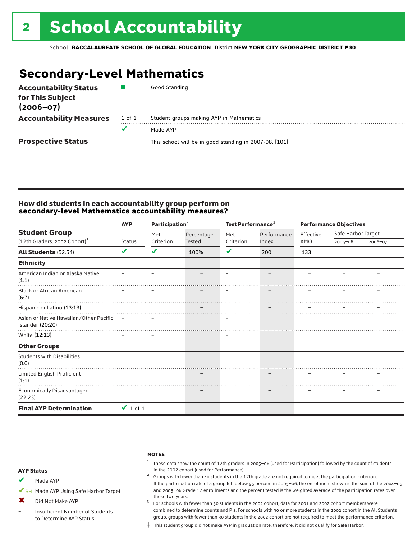## **Secondary-Level Mathematics**

| <b>Accountability Status</b><br>for This Subject<br>$(2006 - 07)$ |        | Good Standing                                          |
|-------------------------------------------------------------------|--------|--------------------------------------------------------|
| <b>Accountability Measures</b>                                    | 1 of 1 | Student groups making AYP in Mathematics               |
|                                                                   |        | Made AYP                                               |
| <b>Prospective Status</b>                                         |        | This school will be in good standing in 2007-08. [101] |

### How did students in each accountability group perform on **secondary-level Mathematics accountability measures?**

|                                                              | Participation <sup>2</sup><br><b>AYP</b> |           |                   | Test Performance <sup>3</sup> |                   | <b>Performance Objectives</b> |                    |         |
|--------------------------------------------------------------|------------------------------------------|-----------|-------------------|-------------------------------|-------------------|-------------------------------|--------------------|---------|
| <b>Student Group</b>                                         |                                          | Met       | Percentage        | Met                           | Performance       | Effective                     | Safe Harbor Target |         |
| $(12th$ Graders: 2002 Cohort) <sup>1</sup>                   | <b>Status</b>                            | Criterion | <b>Tested</b>     | Criterion                     | Index             | AMO                           | $2005 - 06$        | 2006-07 |
| <b>All Students (52:54)</b>                                  | V                                        | V         | 100%              | V                             | 200               | 133                           |                    |         |
| <b>Ethnicity</b>                                             |                                          |           |                   |                               |                   |                               |                    |         |
| American Indian or Alaska Native<br>(1:1)                    |                                          |           |                   |                               |                   |                               |                    |         |
| <b>Black or African American</b><br>(6:7)                    |                                          |           |                   |                               |                   |                               |                    |         |
| Hispanic or Latino (13:13)                                   |                                          |           |                   |                               |                   |                               |                    |         |
| Asian or Native Hawaiian/Other Pacific -<br>Islander (20:20) |                                          |           |                   |                               |                   |                               |                    |         |
| White (12:13)                                                |                                          |           | $\qquad \qquad -$ | $\qquad \qquad -$             | $\qquad \qquad -$ |                               |                    |         |
| <b>Other Groups</b>                                          |                                          |           |                   |                               |                   |                               |                    |         |
| <b>Students with Disabilities</b><br>(0:0)                   |                                          |           |                   |                               |                   |                               |                    |         |
| Limited English Proficient<br>(1:1)                          |                                          |           |                   |                               |                   |                               |                    |         |
| <b>Economically Disadvantaged</b><br>(22:23)                 |                                          |           |                   |                               |                   |                               |                    |         |
| <b>Final AYP Determination</b>                               | $\vee$ 1 of 1                            |           |                   |                               |                   |                               |                    |         |

#### **NOTES**

 $1$  These data show the count of 12th graders in 2005-06 (used for Participation) followed by the count of students in the 2002 cohort (used for Performance).<br><sup>2</sup> Groups with fewer than 40 students in the 12th grade are not required to meet the participation criterion.

#### AYP Status

Made AYP ✔

✔SH Made AYP Using Safe Harbor Target

Did Not Make AYP  $\mathbf x$ 

Insufficient Number of Students to Determine AYP Status –

those two years.  $3$  For schools with fewer than 30 students in the 2002 cohort, data for 2001 and 2002 cohort members were combined to determine counts and PIs. For schools with 30 or more students in the 2002 cohort in the All Students group, groups with fewer than 30 students in the 2002 cohort are not required to meet the performance criterion.

If the participation rate of a group fell below 95 percent in 2005–06, the enrollment shown is the sum of the 2004–05 and 2005–06 Grade 12 enrollments and the percent tested is the weighted average of the participation rates over

‡ This student group did not make AYP in graduation rate; therefore, it did not qualify for Safe Harbor.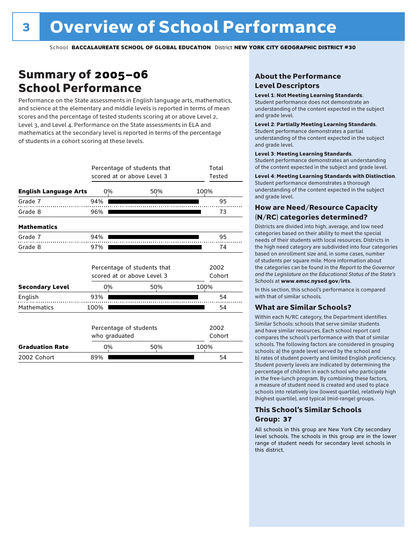## Summary of 2005–06 School Performance

Performance on the State assessments in English language arts, mathematics, and science at the elementary and middle levels is reported in terms of mean scores and the percentage of tested students scoring at or above Level 2, Level 3, and Level 4. Performance on the State assessments in ELA and mathematics at the secondary level is reported in terms of the percentage of students in a cohort scoring at these levels.

|                              | Percentage of students that<br>scored at or above Level 3 |                             | Total<br>Tested |                |
|------------------------------|-----------------------------------------------------------|-----------------------------|-----------------|----------------|
| <b>English Language Arts</b> | 0%                                                        | 50%                         | 100%            |                |
| Grade 7                      | 94%                                                       |                             |                 | 95             |
| Grade 8                      | 96%                                                       |                             |                 | 73             |
| <b>Mathematics</b>           |                                                           |                             |                 |                |
| Grade 7                      | 94%                                                       |                             |                 | 95             |
| Grade 8                      | 97%                                                       |                             |                 | 74             |
|                              | scored at or above Level 3                                | Percentage of students that |                 | 2002<br>Cohort |
| <b>Secondary Level</b>       | 0%                                                        | 50%                         | 100%            |                |
| English                      | 93%                                                       |                             |                 | 54             |
| <b>Mathematics</b>           | 100%                                                      |                             |                 | 54             |
|                              | Percentage of students<br>who graduated                   |                             | 2002<br>Cohort  |                |
| <b>Graduation Rate</b>       | 0%                                                        | 50%                         | 100%            |                |
| 2002 Cohort                  | 89%                                                       |                             |                 | 54             |

### About the Performance Level Descriptors

#### Level 1: Not Meeting Learning Standards.

Student performance does not demonstrate an understanding of the content expected in the subject and grade level.

#### Level 2: Partially Meeting Learning Standards.

Student performance demonstrates a partial understanding of the content expected in the subject and grade level.

#### Level 3: Meeting Learning Standards.

Student performance demonstrates an understanding of the content expected in the subject and grade level.

#### Level 4: Meeting Learning Standards with Distinction.

Student performance demonstrates a thorough understanding of the content expected in the subject and grade level.

### How are Need/Resource Capacity (N/RC) categories determined?

Districts are divided into high, average, and low need categories based on their ability to meet the special needs of their students with local resources. Districts in the high need category are subdivided into four categories based on enrollment size and, in some cases, number of students per square mile. More information about the categories can be found in the *Report to the Governor and the Legislature on the Educational Status of the State's Schools* at www.emsc.nysed.gov/irts.

In this section, this school's performance is compared with that of similar schools.

#### What are Similar Schools?

Within each N/RC category, the Department identifies Similar Schools: schools that serve similar students and have similar resources. Each school report card compares the school's performance with that of similar schools. The following factors are considered in grouping schools: a) the grade level served by the school and b) rates of student poverty and limited English proficiency. Student poverty levels are indicated by determining the percentage of children in each school who participate in the free-lunch program. By combining these factors, a measure of student need is created and used to place schools into relatively low (lowest quartile), relatively high (highest quartile), and typical (mid-range) groups.

### This School's Similar Schools Group: **37**

All schools in this group are New York City secondary level schools. The schools in this group are in the lower range of student needs for secondary level schools in this district.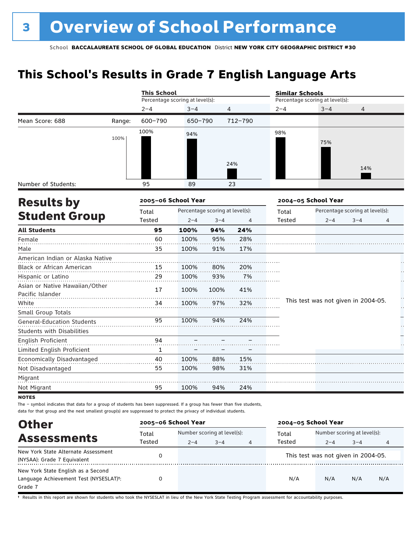## **This School's Results in Grade 7 English Language Arts**

|                                                    |        | <b>This School</b>              |                                 |         |         | <b>Similar Schools</b> |                                     |                                 |    |
|----------------------------------------------------|--------|---------------------------------|---------------------------------|---------|---------|------------------------|-------------------------------------|---------------------------------|----|
|                                                    |        | Percentage scoring at level(s): |                                 |         |         |                        | Percentage scoring at level(s):     |                                 |    |
|                                                    |        | $2 - 4$                         | $3 - 4$                         |         | 4       | $2 - 4$                | $3 - 4$                             | 4                               |    |
| Mean Score: 688                                    | Range: | 600-790                         | 650-790                         |         | 712-790 |                        |                                     |                                 |    |
|                                                    | 100%   | 100%                            | 94%                             |         |         | 98%                    | 75%                                 |                                 |    |
|                                                    |        |                                 |                                 |         | 24%     |                        |                                     | 14%                             |    |
| Number of Students:                                |        | 95                              | 89                              |         | 23      |                        |                                     |                                 |    |
| <b>Results by</b>                                  |        | 2005-06 School Year             |                                 |         |         |                        | 2004-05 School Year                 |                                 |    |
|                                                    |        | Total                           | Percentage scoring at level(s): |         |         | Total                  |                                     | Percentage scoring at level(s): |    |
| <b>Student Group</b>                               |        | Tested                          | $2 - 4$                         | $3 - 4$ | 4       | Tested                 | $2 - 4$                             | $3 - 4$                         | 4  |
| <b>All Students</b>                                |        | 95                              | 100%                            | 94%     | 24%     |                        |                                     |                                 |    |
| Female                                             |        | 60                              | 100%                            | 95%     | 28%     |                        |                                     |                                 |    |
| Male                                               |        | 35                              | 100%                            | 91%     | 17%     |                        |                                     |                                 |    |
| American Indian or Alaska Native                   |        |                                 |                                 |         |         |                        |                                     |                                 |    |
| Black or African American                          |        | 15                              | 100%                            | 80%     | 20%     |                        |                                     |                                 |    |
| Hispanic or Latino                                 |        | 29                              | 100%                            | 93%     | 7%      |                        |                                     |                                 |    |
| Asian or Native Hawaiian/Other<br>Pacific Islander |        | 17                              | 100%                            | 100%    | 41%     |                        |                                     |                                 |    |
| White                                              |        | 34                              | 100%                            | 97%     | 32%     |                        | This test was not given in 2004-05. |                                 | ŗ. |
| Small Group Totals                                 |        |                                 |                                 |         |         |                        |                                     |                                 |    |
| General-Education Students                         |        | 95                              | 100%                            | 94%     | 24%     |                        |                                     |                                 |    |
| Students with Disabilities                         |        |                                 |                                 |         |         |                        |                                     |                                 |    |
| English Proficient                                 |        | 94                              |                                 |         |         |                        |                                     |                                 |    |
| Limited English Proficient                         |        | 1                               |                                 |         |         |                        |                                     |                                 |    |
| Economically Disadvantaged                         |        | 40                              | 100%                            | 88%     | 15%     |                        |                                     |                                 |    |
| Not Disadvantaged                                  |        | 55                              | 100%                            | 98%     | 31%     |                        |                                     |                                 |    |
| Migrant                                            |        |                                 |                                 |         |         |                        |                                     |                                 |    |
| Not Migrant                                        |        | 95                              | 100%                            | 94%     | 24%     |                        |                                     |                                 |    |

**NOTES** 

The – symbol indicates that data for a group of students has been suppressed. If a group has fewer than five students, data for that group and the next smallest group(s) are suppressed to protect the privacy of individual students.

| <b>Other</b>                                                                                         | 2005-06 School Year |                                                        |  |  | 2004-05 School Year |                                        |         |     |
|------------------------------------------------------------------------------------------------------|---------------------|--------------------------------------------------------|--|--|---------------------|----------------------------------------|---------|-----|
| <b>Assessments</b>                                                                                   | Total<br>Tested     | Number scoring at level(s):<br>$3 - 4$<br>$2 - 4$<br>4 |  |  | Total<br>Tested     | Number scoring at level(s):<br>$2 - 4$ | $3 - 4$ |     |
| New York State Alternate Assessment<br>(NYSAA): Grade 7 Equivalent                                   |                     |                                                        |  |  |                     | This test was not given in 2004-05.    |         |     |
| New York State English as a Second<br>Language Achievement Test (NYSESLAT) <sup>+</sup> :<br>Grade 7 |                     |                                                        |  |  | N/A                 | N/A                                    | N/A     | N/A |

† Results in this report are shown for students who took the NYSESLAT in lieu of the New York State Testing Program assessment for accountability purposes.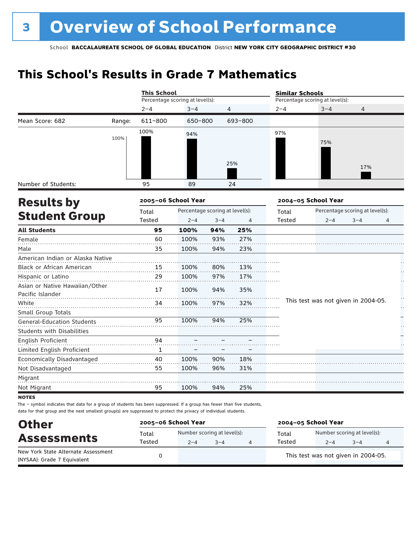## **This School's Results in Grade 7 Mathematics**

|                                                    |        | <b>This School</b>  |                                 |         |         | <b>Similar Schools</b> |                                     |                                 |   |
|----------------------------------------------------|--------|---------------------|---------------------------------|---------|---------|------------------------|-------------------------------------|---------------------------------|---|
|                                                    |        |                     | Percentage scoring at level(s): |         |         |                        | Percentage scoring at level(s):     |                                 |   |
|                                                    |        | $2 - 4$             | $3 - 4$                         |         | 4       | $2 - 4$                | $3 - 4$                             | 4                               |   |
| Mean Score: 682                                    | Range: | 611-800             | 650-800                         |         | 693-800 |                        |                                     |                                 |   |
|                                                    | 100%   | 100%                | 94%                             |         |         | 97%                    | 75%                                 |                                 |   |
|                                                    |        |                     |                                 |         | 25%     |                        |                                     | 17%                             |   |
| Number of Students:                                |        | 95                  | 89                              |         | 24      |                        |                                     |                                 |   |
| <b>Results by</b>                                  |        | 2005-06 School Year |                                 |         |         |                        | 2004-05 School Year                 |                                 |   |
|                                                    |        | Total               | Percentage scoring at level(s): |         |         | Total                  |                                     | Percentage scoring at level(s): |   |
| <b>Student Group</b>                               |        | Tested              | $2 - 4$                         | $3 - 4$ | 4       | Tested                 | $2 - 4$                             | $3 - 4$                         | 4 |
| <b>All Students</b>                                |        | 95                  | 100%                            | 94%     | 25%     |                        |                                     |                                 |   |
| Female                                             |        | 60                  | 100%                            | 93%     | 27%     |                        |                                     |                                 |   |
| Male                                               |        | 35                  | 100%                            | 94%     | 23%     |                        |                                     |                                 |   |
| American Indian or Alaska Native                   |        |                     |                                 |         |         |                        |                                     |                                 |   |
| <b>Black or African American</b>                   |        | 15                  | 100%                            | 80%     | 13%     |                        |                                     |                                 |   |
| Hispanic or Latino                                 |        | 29                  | 100%                            | 97%     | 17%     |                        |                                     |                                 |   |
| Asian or Native Hawaiian/Other<br>Pacific Islander |        | 17                  | 100%                            | 94%     | 35%     |                        |                                     |                                 |   |
| White                                              |        | 34                  | 100%                            | 97%     | 32%     |                        | This test was not given in 2004-05. |                                 | Н |
| Small Group Totals                                 |        |                     |                                 |         |         |                        |                                     |                                 |   |
| <b>General-Education Students</b>                  |        | 95                  | 100%                            | 94%     | 25%     |                        |                                     |                                 |   |
| <b>Students with Disabilities</b>                  |        |                     |                                 |         |         |                        |                                     |                                 |   |
| English Proficient                                 |        | 94                  |                                 |         |         |                        |                                     |                                 |   |
| Limited English Proficient                         |        | $\mathbf{1}$        |                                 |         |         |                        |                                     |                                 |   |
| Economically Disadvantaged                         |        | 40                  | 100%                            | 90%     | 18%     |                        |                                     |                                 |   |
| Not Disadvantaged                                  |        | 55                  | 100%                            | 96%     | 31%     |                        |                                     |                                 |   |
| Migrant                                            |        |                     |                                 |         |         |                        |                                     |                                 |   |
| Not Migrant                                        |        | 95                  | 100%                            | 94%     | 25%     |                        |                                     |                                 |   |

**NOTES** 

The – symbol indicates that data for a group of students has been suppressed. If a group has fewer than five students, data for that group and the next smallest group(s) are suppressed to protect the privacy of individual students.

| <b>Other</b>                                                       | 2005-06 School Year |         |                                        | 2004-05 School Year |                                        |         |  |  |
|--------------------------------------------------------------------|---------------------|---------|----------------------------------------|---------------------|----------------------------------------|---------|--|--|
| <b>Assessments</b>                                                 | Total<br>Tested     | $2 - 4$ | Number scoring at level(s):<br>$3 - 4$ | Total<br>Tested     | Number scoring at level(s):<br>$2 - 4$ | $3 - 4$ |  |  |
| New York State Alternate Assessment<br>(NYSAA): Grade 7 Equivalent |                     |         |                                        |                     | This test was not given in 2004-05.    |         |  |  |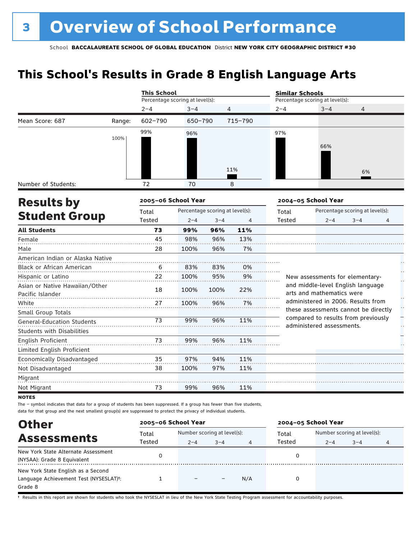## **This School's Results in Grade 8 English Language Arts**

|                                   |        | <b>This School</b>              |                                 |         |         | <b>Similar Schools</b> |                                                                 |                                 |                      |
|-----------------------------------|--------|---------------------------------|---------------------------------|---------|---------|------------------------|-----------------------------------------------------------------|---------------------------------|----------------------|
|                                   |        | Percentage scoring at level(s): |                                 |         |         |                        | Percentage scoring at level(s):                                 |                                 |                      |
|                                   |        | $2 - 4$                         | $3 - 4$                         |         | 4       | $2 - 4$                | $3 - 4$                                                         | $\overline{4}$                  |                      |
| Mean Score: 687                   | Range: | $602 - 790$                     | 650-790                         |         | 715-790 |                        |                                                                 |                                 |                      |
|                                   |        | 99%                             | 96%                             |         |         | 97%                    |                                                                 |                                 |                      |
|                                   | 100%   |                                 |                                 |         |         |                        |                                                                 |                                 |                      |
|                                   |        |                                 |                                 |         |         |                        | 66%                                                             |                                 |                      |
|                                   |        |                                 |                                 |         |         |                        |                                                                 |                                 |                      |
|                                   |        |                                 |                                 |         | 11%     |                        |                                                                 | 6%                              |                      |
| Number of Students:               |        | 72                              | 70                              |         | 8       |                        |                                                                 |                                 |                      |
| <b>Results by</b>                 |        | 2005-06 School Year             |                                 |         |         |                        | 2004-05 School Year                                             |                                 |                      |
|                                   |        | Total                           | Percentage scoring at level(s): |         |         | Total                  |                                                                 | Percentage scoring at level(s): |                      |
| <b>Student Group</b>              |        | Tested                          | $2 - 4$                         | $3 - 4$ | 4       | Tested                 | $2 - 4$                                                         | $3 - 4$                         | 4                    |
| <b>All Students</b>               |        | 73                              | 99%                             | 96%     | 11%     |                        |                                                                 |                                 |                      |
| Female                            |        | 45                              | 98%                             | 96%     | 13%     |                        |                                                                 |                                 |                      |
| Male                              |        | 28                              | 100%                            | 96%     | 7%      |                        |                                                                 |                                 |                      |
| American Indian or Alaska Native  |        |                                 |                                 |         |         |                        |                                                                 |                                 |                      |
| <b>Black or African American</b>  |        | 6                               | 83%                             | 83%     | 0%      |                        |                                                                 |                                 |                      |
| Hispanic or Latino                |        | 22                              | 100%                            | 95%     | 9%      |                        | New assessments for elementary-                                 |                                 | L,                   |
| Asian or Native Hawaiian/Other    |        | 18                              | 100%                            | 100%    | 22%     |                        | and middle-level English language                               |                                 |                      |
| Pacific Islander                  |        |                                 |                                 |         |         |                        | arts and mathematics were<br>administered in 2006. Results from |                                 |                      |
| White                             |        | 27                              | 100%                            | 96%     | 7%      |                        | these assessments cannot be directly                            |                                 | $\ddot{\phantom{0}}$ |
| Small Group Totals                |        |                                 |                                 |         |         |                        | compared to results from previously                             |                                 |                      |
| <b>General-Education Students</b> |        | 73                              | 99%                             | 96%     | 11%     |                        | administered assessments.                                       |                                 | Н,                   |
| <b>Students with Disabilities</b> |        |                                 |                                 |         |         |                        |                                                                 |                                 |                      |
| English Proficient                |        | 73                              | 99%                             | 96%     | 11%     |                        |                                                                 |                                 |                      |
| Limited English Proficient        |        |                                 |                                 |         |         |                        |                                                                 |                                 |                      |
| Economically Disadvantaged        |        | 35                              | 97%                             | 94%     | 11%     |                        |                                                                 |                                 |                      |
| Not Disadvantaged                 |        | 38                              | 100%                            | 97%     | 11%     |                        |                                                                 |                                 |                      |
| Migrant                           |        |                                 |                                 |         |         |                        |                                                                 |                                 |                      |
| Not Migrant                       |        | 73                              | 99%                             | 96%     | 11%     |                        |                                                                 |                                 |                      |

**NOTES** 

The – symbol indicates that data for a group of students has been suppressed. If a group has fewer than five students, data for that group and the next smallest group(s) are suppressed to protect the privacy of individual students.

| <b>Other</b>                                        |        | 2005-06 School Year         |         |     | 2004-05 School Year |                             |         |   |
|-----------------------------------------------------|--------|-----------------------------|---------|-----|---------------------|-----------------------------|---------|---|
|                                                     | Total  | Number scoring at level(s): |         |     | Total               | Number scoring at level(s): |         |   |
| <b>Assessments</b>                                  | Tested | $2 - 4$                     | $3 - 4$ | 4   | Tested              | $2 - 4$                     | $3 - 4$ | 4 |
| New York State Alternate Assessment                 |        |                             |         |     |                     |                             |         |   |
| (NYSAA): Grade 8 Equivalent                         |        |                             |         |     |                     |                             |         |   |
| New York State English as a Second                  |        |                             |         |     |                     |                             |         |   |
| Language Achievement Test (NYSESLAT) <sup>+</sup> : |        |                             |         | N/A |                     |                             |         |   |
| Grade 8                                             |        |                             |         |     |                     |                             |         |   |

† Results in this report are shown for students who took the NYSESLAT in lieu of the New York State Testing Program assessment for accountability purposes.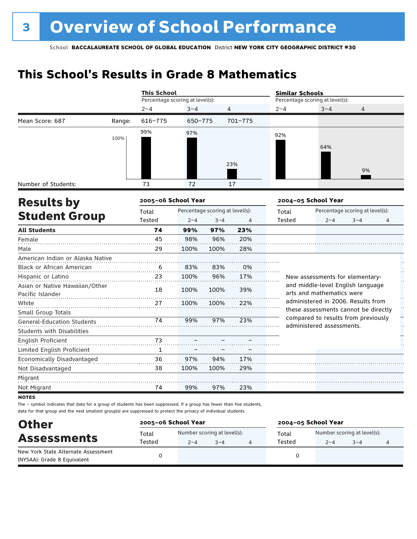## **This School's Results in Grade 8 Mathematics**

|                                   |        | <b>This School</b>              |         |                                 |                | <b>Similar Schools</b> |                                                                            |                                 |    |
|-----------------------------------|--------|---------------------------------|---------|---------------------------------|----------------|------------------------|----------------------------------------------------------------------------|---------------------------------|----|
|                                   |        | Percentage scoring at level(s): |         |                                 |                |                        | Percentage scoring at level(s):                                            |                                 |    |
|                                   |        | $2 - 4$                         | $3 - 4$ | 4                               |                | $2 - 4$                | $3 - 4$                                                                    | 4                               |    |
| Mean Score: 687                   | Range: | $616 - 775$                     | 650-775 |                                 | 701-775        |                        |                                                                            |                                 |    |
|                                   |        | 99%                             | 97%     |                                 |                | 92%                    |                                                                            |                                 |    |
|                                   | 100%   |                                 |         |                                 |                |                        |                                                                            |                                 |    |
|                                   |        |                                 |         |                                 |                |                        | 64%                                                                        |                                 |    |
|                                   |        |                                 |         |                                 | 23%            |                        |                                                                            |                                 |    |
|                                   |        |                                 |         |                                 |                |                        |                                                                            | 9%                              |    |
| Number of Students:               |        | 73                              | 72      |                                 | 17             |                        |                                                                            |                                 |    |
| <b>Results by</b>                 |        | 2005-06 School Year             |         |                                 |                |                        | 2004-05 School Year                                                        |                                 |    |
|                                   |        | Total                           |         | Percentage scoring at level(s): |                | Total                  |                                                                            | Percentage scoring at level(s): |    |
| <b>Student Group</b>              |        | Tested                          | $2 - 4$ | $3 - 4$                         | $\overline{4}$ | <b>Tested</b>          | $2 - 4$                                                                    | $3 - 4$                         | 4  |
| <b>All Students</b>               |        | 74                              | 99%     | 97%                             | 23%            |                        |                                                                            |                                 |    |
| Female                            |        | 45                              | 98%     | 96%                             | 20%            |                        |                                                                            |                                 |    |
| Male                              |        | 29                              | 100%    | 100%                            | 28%            |                        |                                                                            |                                 |    |
| American Indian or Alaska Native  |        |                                 |         |                                 |                |                        |                                                                            |                                 |    |
| <b>Black or African American</b>  |        | 6                               | 83%     | 83%                             | 0%             |                        |                                                                            |                                 |    |
| Hispanic or Latino                |        | 23                              | 100%    | 96%                             | 17%            |                        | New assessments for elementary-                                            |                                 |    |
| Asian or Native Hawaiian/Other    |        | 18                              | 100%    | 100%                            | 39%            |                        | and middle-level English language                                          |                                 |    |
| Pacific Islander                  |        |                                 |         |                                 |                |                        | arts and mathematics were                                                  |                                 |    |
| White                             |        | 27                              | 100%    | 100%                            | 22%            |                        | administered in 2006. Results from<br>these assessments cannot be directly |                                 | H  |
| Small Group Totals                |        |                                 |         |                                 |                |                        | compared to results from previously                                        |                                 |    |
| <b>General-Education Students</b> |        | 74                              | 99%     | 97%                             | 23%            |                        | administered assessments.                                                  |                                 | ŗ, |
| <b>Students with Disabilities</b> |        |                                 |         |                                 |                |                        |                                                                            |                                 |    |
| <b>English Proficient</b>         |        | 73                              |         |                                 |                |                        |                                                                            |                                 |    |
| Limited English Proficient        |        | $\mathbf{1}$                    |         |                                 |                |                        |                                                                            |                                 |    |
| Economically Disadvantaged        |        | 36                              | 97%     | 94%                             | 17%            |                        |                                                                            |                                 |    |
| Not Disadvantaged                 |        | 38                              | 100%    | 100%                            | 29%            |                        |                                                                            |                                 |    |
| Migrant                           |        |                                 |         |                                 |                |                        |                                                                            |                                 |    |
| Not Migrant                       |        | 74                              | 99%     | 97%                             | 23%            |                        |                                                                            |                                 |    |

**NOTES** 

The – symbol indicates that data for a group of students has been suppressed. If a group has fewer than five students, data for that group and the next smallest group(s) are suppressed to protect the privacy of individual students.

| <b>Other</b>                                                       | 2005-06 School Year |                                                   |  |  | 2004-05 School Year |                                        |         |  |  |
|--------------------------------------------------------------------|---------------------|---------------------------------------------------|--|--|---------------------|----------------------------------------|---------|--|--|
| <b>Assessments</b>                                                 | Total<br>Tested     | Number scoring at level(s):<br>$3 - 4$<br>$2 - 4$ |  |  | Total<br>Tested     | Number scoring at level(s):<br>$2 - 4$ | $3 - 4$ |  |  |
| New York State Alternate Assessment<br>(NYSAA): Grade 8 Equivalent |                     |                                                   |  |  |                     |                                        |         |  |  |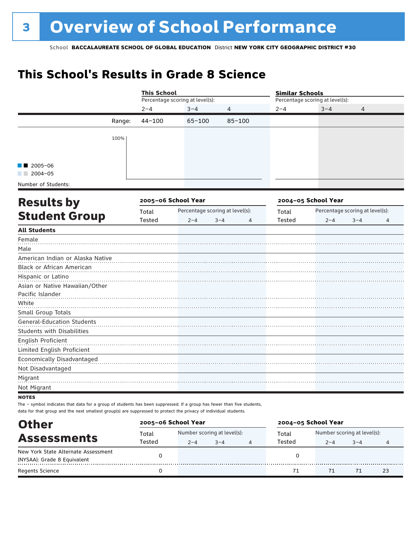## **This School's Results in Grade 8 Science**

|                                                                                                                        |        |        |                                                                                                                                                                                         |            | <b>Similar Schools</b> |                                 |                                 |                |
|------------------------------------------------------------------------------------------------------------------------|--------|--------|-----------------------------------------------------------------------------------------------------------------------------------------------------------------------------------------|------------|------------------------|---------------------------------|---------------------------------|----------------|
|                                                                                                                        |        |        | <b>This School</b><br>Percentage scoring at level(s):<br>$2 - 4$<br>$3 - 4$<br>$44 - 100$<br>$65 - 100$<br>2005-06 School Year<br>Percentage scoring at level(s):<br>$2 - 4$<br>$3 - 4$ |            |                        | Percentage scoring at level(s): |                                 |                |
|                                                                                                                        |        |        |                                                                                                                                                                                         | 4          | $2 - 4$                | $3 - 4$                         | 4                               |                |
|                                                                                                                        | Range: |        |                                                                                                                                                                                         | $85 - 100$ |                        |                                 |                                 |                |
|                                                                                                                        | 100%   |        |                                                                                                                                                                                         |            |                        |                                 |                                 |                |
| $\blacksquare$ 2005-06<br>$\blacksquare$ 2004-05                                                                       |        |        |                                                                                                                                                                                         |            |                        |                                 |                                 |                |
| Number of Students:                                                                                                    |        |        |                                                                                                                                                                                         |            |                        |                                 |                                 |                |
| <b>Results by</b>                                                                                                      |        |        |                                                                                                                                                                                         |            |                        | 2004-05 School Year             |                                 |                |
|                                                                                                                        |        | Total  |                                                                                                                                                                                         |            | Total                  |                                 | Percentage scoring at level(s): |                |
| <b>Student Group</b>                                                                                                   |        | Tested |                                                                                                                                                                                         | 4          | Tested                 | $2 - 4$                         | $3 - 4$                         | $\overline{4}$ |
| <b>All Students</b>                                                                                                    |        |        |                                                                                                                                                                                         |            |                        |                                 |                                 |                |
| Female<br>Male                                                                                                         |        |        |                                                                                                                                                                                         |            |                        |                                 |                                 |                |
| American Indian or Alaska Native                                                                                       |        |        |                                                                                                                                                                                         |            |                        |                                 |                                 |                |
| Black or African American                                                                                              |        |        |                                                                                                                                                                                         |            |                        |                                 |                                 |                |
| Hispanic or Latino                                                                                                     |        |        |                                                                                                                                                                                         |            |                        |                                 |                                 |                |
| Asian or Native Hawaiian/Other<br>Pacific Islander                                                                     |        |        |                                                                                                                                                                                         |            |                        |                                 |                                 |                |
| White                                                                                                                  |        |        |                                                                                                                                                                                         |            |                        |                                 |                                 |                |
| Small Group Totals                                                                                                     |        |        |                                                                                                                                                                                         |            |                        |                                 |                                 |                |
| <b>General-Education Students</b>                                                                                      |        |        |                                                                                                                                                                                         |            |                        |                                 |                                 |                |
| <b>Students with Disabilities</b>                                                                                      |        |        |                                                                                                                                                                                         |            |                        |                                 |                                 |                |
| English Proficient                                                                                                     |        |        |                                                                                                                                                                                         |            |                        |                                 |                                 |                |
| Limited English Proficient                                                                                             |        |        |                                                                                                                                                                                         |            |                        |                                 |                                 |                |
| Economically Disadvantaged<br>Not Disadvantaged                                                                        |        |        |                                                                                                                                                                                         |            |                        |                                 |                                 |                |
| Migrant                                                                                                                |        |        |                                                                                                                                                                                         |            |                        |                                 |                                 |                |
| Not Migrant                                                                                                            |        |        |                                                                                                                                                                                         |            |                        |                                 |                                 |                |
| <b>NOTES</b>                                                                                                           |        |        |                                                                                                                                                                                         |            |                        |                                 |                                 |                |
| The - symbol indicates that data for a group of students has been suppressed. If a group has fewer than five students, |        |        |                                                                                                                                                                                         |            |                        |                                 |                                 |                |

data for that group and the next smallest group(s) are suppressed to protect the privacy of individual students.

| <b>Other</b>                        | 2005-06 School Year |                             |         |   | 2004-05 School Year |                             |         |    |
|-------------------------------------|---------------------|-----------------------------|---------|---|---------------------|-----------------------------|---------|----|
| <b>Assessments</b>                  | Total               | Number scoring at level(s): |         |   | Total               | Number scoring at level(s): |         |    |
|                                     | Tested              | $2 - 4$                     | $3 - 4$ | 4 | Tested              | $2 - 4$                     | $3 - 4$ |    |
| New York State Alternate Assessment |                     |                             |         |   |                     |                             |         |    |
| (NYSAA): Grade 8 Equivalent         |                     |                             |         |   |                     |                             |         |    |
| <b>Regents Science</b>              |                     |                             |         |   |                     |                             |         | 23 |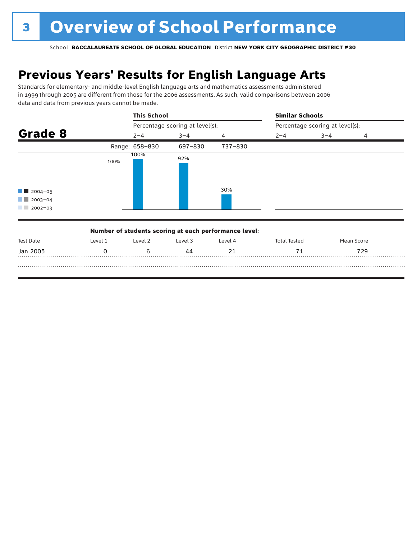## **Previous Years' Results for English Language Arts**

Standards for elementary- and middle-level English language arts and mathematics assessments administered in 1999 through 2005 are different from those for the 2006 assessments. As such, valid comparisons between 2006 data and data from previous years cannot be made.

|                                                                           | <b>This School</b> |                                 |         | <b>Similar Schools</b> |                                 |                |  |  |
|---------------------------------------------------------------------------|--------------------|---------------------------------|---------|------------------------|---------------------------------|----------------|--|--|
|                                                                           |                    | Percentage scoring at level(s): |         |                        | Percentage scoring at level(s): |                |  |  |
| Grade 8                                                                   | $2 - 4$            | $3 - 4$                         | 4       | $2 - 4$                | $3 - 4$                         | $\overline{4}$ |  |  |
|                                                                           | Range: 658-830     | 697-830                         | 737-830 |                        |                                 |                |  |  |
| $\blacksquare$ 2004-05<br>$\blacksquare$ 2003-04<br>$2002 - 03$<br>a kara | 100%<br>100%       | 92%                             | 30%     |                        |                                 |                |  |  |

|           |         | Number of students scoring at each performance level: |         |         |              |            |  |
|-----------|---------|-------------------------------------------------------|---------|---------|--------------|------------|--|
| Test Date | Level 1 | Level 2                                               | Level 3 | Level 4 | Total Tested | Mean Score |  |
| Jan 2005  |         |                                                       |         |         |              | 729        |  |
|           |         |                                                       |         |         |              |            |  |
|           |         |                                                       |         |         |              |            |  |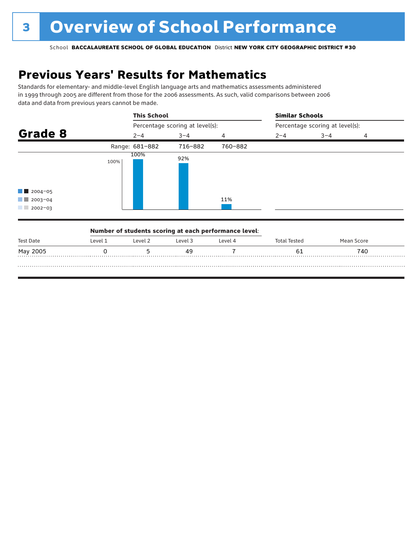## **Previous Years' Results for Mathematics**

Standards for elementary- and middle-level English language arts and mathematics assessments administered in 1999 through 2005 are different from those for the 2006 assessments. As such, valid comparisons between 2006 data and data from previous years cannot be made.

|                                                                 | <b>This School</b> |                                 |         | <b>Similar Schools</b>          |         |   |  |  |
|-----------------------------------------------------------------|--------------------|---------------------------------|---------|---------------------------------|---------|---|--|--|
|                                                                 |                    | Percentage scoring at level(s): |         | Percentage scoring at level(s): |         |   |  |  |
| Grade 8                                                         | $2 - 4$            | $3 - 4$                         | 4       | $2 - 4$                         | $3 - 4$ | 4 |  |  |
|                                                                 | Range: 681-882     | 716-882                         | 760-882 |                                 |         |   |  |  |
| $\blacksquare$ 2004-05<br>$\blacksquare$ 2003-04<br>$2002 - 03$ | 100%<br>100%       | 92%                             | 11%     |                                 |         |   |  |  |

|           |         | Number of students scoring at each performance level: |         |         |              |            |  |
|-----------|---------|-------------------------------------------------------|---------|---------|--------------|------------|--|
| Test Date | Level 1 | Level 2                                               | Level 3 | Level 4 | Total Tested | Mean Score |  |
| May 2005  |         |                                                       | 49      |         |              | 740        |  |
|           |         |                                                       |         |         |              |            |  |
|           |         |                                                       |         |         |              |            |  |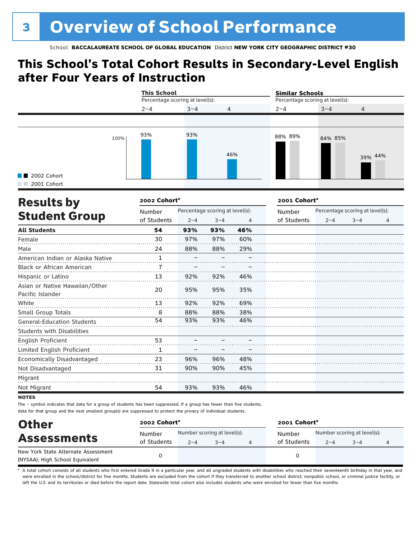### **This School's Total Cohort Results in Secondary-Level English after Four Years of Instruction**

|                            |      | <b>This School</b> | Percentage scoring at level(s): |                |         | <b>Similar Schools</b><br>Percentage scoring at level(s): |                |  |
|----------------------------|------|--------------------|---------------------------------|----------------|---------|-----------------------------------------------------------|----------------|--|
|                            |      | $2 - 4$            | $3 - 4$                         | $\overline{4}$ | $2 - 4$ | $3 - 4$                                                   | $\overline{4}$ |  |
|                            |      |                    |                                 |                |         |                                                           |                |  |
| 2002 Cohort<br>2001 Cohort | 100% | 93%                | 93%                             | 46%            | 88% 89% | 84% 85%                                                   | 39% 44%        |  |

| <b>Results by</b>                                  | 2002 Cohort* |         |                                 |     | 2001 Cohort* |         |                                 |   |  |
|----------------------------------------------------|--------------|---------|---------------------------------|-----|--------------|---------|---------------------------------|---|--|
|                                                    | Number       |         | Percentage scoring at level(s): |     | Number       |         | Percentage scoring at level(s): |   |  |
| <b>Student Group</b>                               | of Students  | $2 - 4$ | $3 - 4$                         | 4   | of Students  | $2 - 4$ | $3 - 4$                         | 4 |  |
| <b>All Students</b>                                | 54           | 93%     | 93%                             | 46% |              |         |                                 |   |  |
| Female                                             | 30           | 97%     | 97%                             | 60% |              |         |                                 |   |  |
| Male                                               | 24           | 88%     | 88%                             | 29% |              |         |                                 |   |  |
| American Indian or Alaska Native                   | 1            |         |                                 |     |              |         |                                 |   |  |
| <b>Black or African American</b>                   |              |         |                                 |     |              |         |                                 |   |  |
| Hispanic or Latino                                 | 13           | 92%     | 92%                             | 46% |              |         |                                 |   |  |
| Asian or Native Hawaiian/Other<br>Pacific Islander | 20           | 95%     | 95%                             | 35% |              |         |                                 |   |  |
| White                                              | 13           | 92%     | 92%                             | 69% |              |         |                                 |   |  |
| Small Group Totals                                 | 8            | 88%     | 88%                             | 38% |              |         |                                 |   |  |
| <b>General-Education Students</b>                  | 54           | 93%     | 93%                             | 46% |              |         |                                 |   |  |
| <b>Students with Disabilities</b>                  |              |         |                                 |     |              |         |                                 |   |  |
| English Proficient                                 | 53           |         |                                 |     |              |         |                                 |   |  |
| Limited English Proficient                         | 1            |         |                                 |     |              |         |                                 |   |  |
| Economically Disadvantaged                         | 23           | 96%     | 96%                             | 48% |              |         |                                 |   |  |
| Not Disadvantaged                                  | 31           | 90%     | 90%                             | 45% |              |         |                                 |   |  |
| Migrant                                            |              |         |                                 |     |              |         |                                 |   |  |
| Not Migrant                                        | 54           | 93%     | 93%                             | 46% |              |         |                                 |   |  |

**NOTES** 

The – symbol indicates that data for a group of students has been suppressed. If a group has fewer than five students, data for that group and the next smallest group(s) are suppressed to protect the privacy of individual students.

| <b>Other</b><br><b>Assessments</b>  | 2002 Cohort* |                             |         |  | 2001 Cohort* |                             |         |  |  |
|-------------------------------------|--------------|-----------------------------|---------|--|--------------|-----------------------------|---------|--|--|
|                                     | Number       | Number scoring at level(s): |         |  | Number       | Number scoring at level(s): |         |  |  |
|                                     | of Students  | $2 - 4$                     | $3 - 4$ |  | of Students  | $2 - 4$                     | $3 - 4$ |  |  |
| New York State Alternate Assessment |              |                             |         |  |              |                             |         |  |  |
| (NYSAA): High School Equivalent     |              |                             |         |  | 0            |                             |         |  |  |

A total cohort consists of all students who first entered Grade 9 in a particular year, and all ungraded students with disabilities who reached their seventeenth birthday in that year, and were enrolled in the school/district for five months. Students are excluded from the cohort if they transferred to another school district, nonpublic school, or criminal justice facility, or left the U.S. and its territories or died before the report date. Statewide total cohort also includes students who were enrolled for fewer than five months.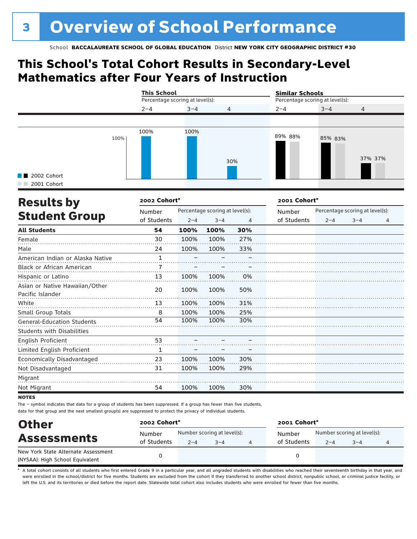### **This School's Total Cohort Results in Secondary-Level Mathematics after Four Years of Instruction**

|                                           |      | <b>This School</b><br>Percentage scoring at level(s): |         |                | <b>Similar Schools</b><br>Percentage scoring at level(s): |         |                |  |
|-------------------------------------------|------|-------------------------------------------------------|---------|----------------|-----------------------------------------------------------|---------|----------------|--|
|                                           |      | $2 - 4$                                               | $3 - 4$ | $\overline{4}$ | $2 - 4$                                                   | $3 - 4$ | $\overline{4}$ |  |
|                                           |      |                                                       |         |                |                                                           |         |                |  |
| $\blacksquare$ 2002 Cohort<br>2001 Cohort | 100% | 100%                                                  | 100%    | 30%            | 89% 88%                                                   | 85% 83% | 37% 37%        |  |

| <b>Results by</b>                                  | 2002 Cohort*          |                                 |         |     | 2001 Cohort* |                                 |         |   |
|----------------------------------------------------|-----------------------|---------------------------------|---------|-----|--------------|---------------------------------|---------|---|
|                                                    | Number<br>of Students | Percentage scoring at level(s): |         |     | Number       | Percentage scoring at level(s): |         |   |
| <b>Student Group</b>                               |                       | $2 - 4$                         | $3 - 4$ | 4   | of Students  | $2 - 4$                         | $3 - 4$ | 4 |
| <b>All Students</b>                                | 54                    | 100%                            | 100%    | 30% |              |                                 |         |   |
| Female                                             | 30                    | 100%                            | 100%    | 27% |              |                                 |         |   |
| Male                                               | 24                    | 100%                            | 100%    | 33% |              |                                 |         |   |
| American Indian or Alaska Native                   | 1                     |                                 |         |     |              |                                 |         |   |
| Black or African American                          |                       |                                 |         |     |              |                                 |         |   |
| Hispanic or Latino                                 | 13                    | 100%                            | 100%    | 0%  |              |                                 |         |   |
| Asian or Native Hawaiian/Other<br>Pacific Islander | 20                    | 100%                            | 100%    | 50% |              |                                 |         |   |
| White                                              | 13                    | 100%                            | 100%    | 31% |              |                                 |         |   |
| Small Group Totals                                 | 8                     | 100%                            | 100%    | 25% |              |                                 |         |   |
| <b>General-Education Students</b>                  | 54                    | 100%                            | 100%    | 30% |              |                                 |         |   |
| <b>Students with Disabilities</b>                  |                       |                                 |         |     |              |                                 |         |   |
| English Proficient                                 | 53                    |                                 |         |     |              |                                 |         |   |
| Limited English Proficient                         | 1                     |                                 |         |     |              |                                 |         |   |
| Economically Disadvantaged                         | 23                    | 100%                            | 100%    | 30% |              |                                 |         |   |
| Not Disadvantaged                                  | 31                    | 100%                            | 100%    | 29% |              |                                 |         |   |
| Migrant                                            |                       |                                 |         |     |              |                                 |         |   |
| Not Migrant                                        | 54                    | 100%                            | 100%    | 30% |              |                                 |         |   |

**NOTES** 

The – symbol indicates that data for a group of students has been suppressed. If a group has fewer than five students, data for that group and the next smallest group(s) are suppressed to protect the privacy of individual students.

| <b>Other</b>                        | 2002 Cohort* |                             |         |  | 2001 Cohort* |                                   |  |  |
|-------------------------------------|--------------|-----------------------------|---------|--|--------------|-----------------------------------|--|--|
| <b>Assessments</b>                  | Number       | Number scoring at level(s): |         |  | Number       | Number scoring at level(s):       |  |  |
|                                     | of Students  | $2 - 4$                     | $3 - 4$ |  |              | of Students<br>$3 - 4$<br>$2 - 4$ |  |  |
| New York State Alternate Assessment |              |                             |         |  | 0            |                                   |  |  |
| (NYSAA): High School Equivalent     |              |                             |         |  |              |                                   |  |  |

A total cohort consists of all students who first entered Grade 9 in a particular year, and all ungraded students with disabilities who reached their seventeenth birthday in that year, and were enrolled in the school/district for five months. Students are excluded from the cohort if they transferred to another school district, nonpublic school, or criminal justice facility, or left the U.S. and its territories or died before the report date. Statewide total cohort also includes students who were enrolled for fewer than five months.